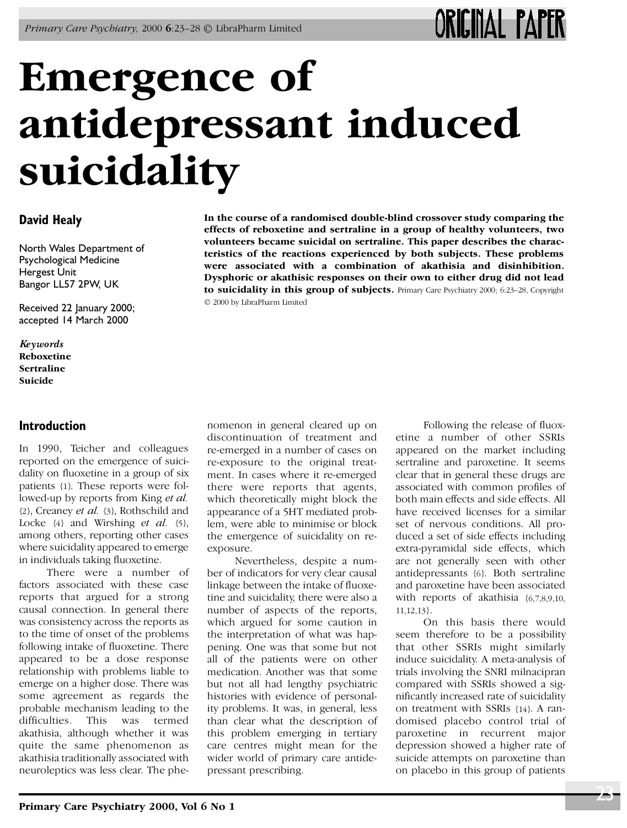# **Emergence of antidepressant induced suicidality**

# **David Healy**

North Wales Department of Psychological Medicine Hergest Unit Bangor LL57 2PW, UK

Received 22 January 2000; accepted 14 March 2000

*Ke ywords* **Reboxetine Sertraline Suicide**

### **Introduction**

In 1990, Teicher and colleagues reported on the emergence of suicidality on fluoxetine in a group of six patients {1}. These reports were followed-up by reports from King *et al.* {2}, Creaney *et al.* {3}, Rothschild and Locke  $\{4\}$  and Wirshing *et al.*  $\{5\}$ , among others, reporting other cases where suicidality appeared to emerge in individuals taking fluoxetine.

There were a number of factors associated with these case reports that argued for a strong causal connection. In general there was consistency across the reports as to the time of onset of the problems following intake of fluoxetine. There appeared to be a dose response relationship with problems liable to emerge on a higher dose. There was some agreement as regards the probable mechanism leading to the difficulties. This was termed akathisia, although whether it was quite the same phenomenon as akathisia traditionally associated with neuroleptics was less clear. The phe-

**In the course of a randomised double-blind crossover study comparing the effects of reboxetine and sertraline in a group of healthy volunteers, two volunteers became suicidal on sertraline. This paper describes the characteristics of the reactions experienced by both subjects. These problems were associated with a combination of akathisia and disinhibition. Dysphoric or akathisic responses on their own to either drug did not lead to suicidality in this group of subjects.** Primary Care Psychiatry 2000; 6:23–28, Copyright

© 2000 by LibraPharm Limited

nomenon in general cleared up on discontinuation of treatment and re-emerged in a number of cases on re-exposure to the original treatment. In cases where it re-emerged there were reports that agents, which theoretically might block the appearance of a 5HT mediated problem, were able to minimise or block the emergence of suicidality on reexposure.

Nevertheless, despite a number of indicators for very clear causal linkage between the intake of fluoxetine and suicidality, there were also a number of aspects of the reports, which argued for some caution in the interpretation of what was happening. One was that some but not all of the patients were on other medication. Another was that some but not all had lengthy psychiatric histories with evidence of personality problems. It was, in general, less than clear what the description of this problem emerging in tertiary care centres might mean for the wider world of primary care antidepressant prescribing.

Following the release of fluoxetine a number of other SSRIs appeared on the market including sertraline and paroxetine. It seems clear that in general these drugs are associated with common profiles of both main effects and side effects. All have received licenses for a similar set of nervous conditions. All produced a set of side effects including extra-pyramidal side effects, which are not generally seen with other antidepressants {6}. Both sertraline and paroxetine have been associated with reports of akathisia {6,7,8,9,10, 11,12,13}.

On this basis there would seem therefore to be a possibility that other SSRIs might similarly induce suicidality. A meta-analysis of trials involving the SNRI milnacipran compared with SSRIs showed a significantly increased rate of suicidality on treatment with SSRIs {14}. A randomised placebo control trial of paroxetine in recurrent major depression showed a higher rate of suicide attempts on paroxetine than on placebo in this group of patients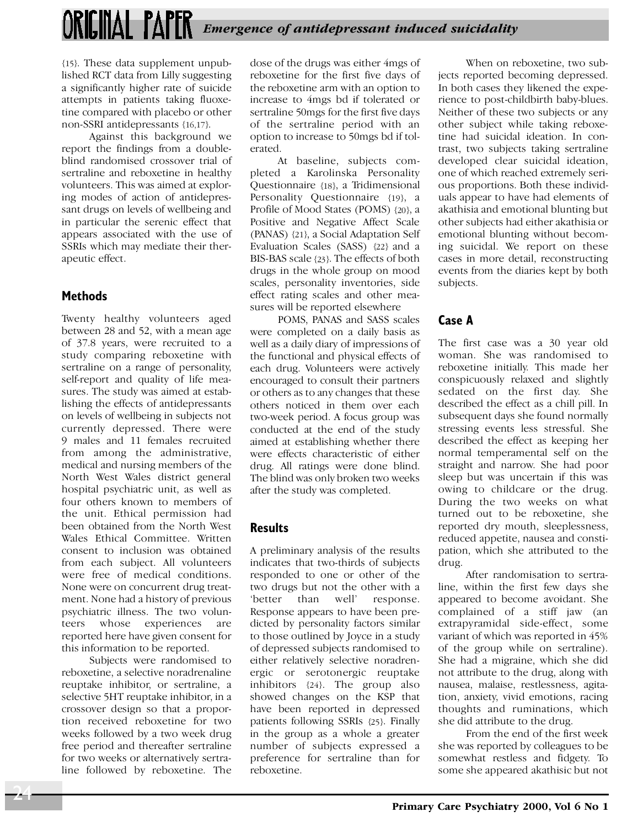{15}. These data supplement unpublished RCT data from Lilly suggesting a significantly higher rate of suicide attempts in patients taking fluoxetine compared with placebo or other non-SSRI antidepressants {16,17}.

Against this background we report the findings from a doubleblind randomised crossover trial of sertraline and reboxetine in healthy volunteers. This was aimed at exploring modes of action of antidepressant drugs on levels of wellbeing and in particular the serenic effect that appears associated with the use of SSRIs which may mediate their therapeutic effect.

## **Methods**

Twenty healthy volunteers aged between 28 and 52, with a mean age of 37.8 years, were recruited to a study comparing reboxetine with sertraline on a range of personality, self-report and quality of life measures. The study was aimed at establishing the effects of antidepressants on levels of wellbeing in subjects not currently depressed. There were 9 males and 11 females recruited from among the administrative, medical and nursing members of the North West Wales district general hospital psychiatric unit, as well as four others known to members of the unit. Ethical permission had been obtained from the North West Wales Ethical Committee. Written consent to inclusion was obtained from each subject. All volunteers were free of medical conditions. None were on concurrent drug treatment. None had a history of previous psychiatric illness. The two volunteers whose experiences are reported here have given consent for this information to be reported.

Subjects were randomised to reboxetine, a selective noradrenaline reuptake inhibitor, or sertraline, a selective 5HT reuptake inhibitor, in a crossover design so that a proportion received reboxetine for two weeks followed by a two week drug free period and thereafter sertraline for two weeks or alternatively sertraline followed by reboxetine. The

dose of the drugs was either 4mgs of reboxetine for the first five days of the reboxetine arm with an option to increase to 4mgs bd if tolerated or sertraline 50mgs for the first five days of the sertraline period with an option to increase to 50mgs bd if tolerated.

At baseline, subjects completed a Karolinska Personality Questionnaire {18}, a Tridimensional Personality Questionnaire {19}, a Profile of Mood States (POMS) {20}, a Positive and Negative Affect Scale (PANAS) {21}, a Social Adaptation Self Evaluation Scales (SASS) {22} and a BIS-BAS scale {23}. The effects of both drugs in the whole group on mood scales, personality inventories, side effect rating scales and other measures will be reported elsewhere

POMS, PANAS and SASS scales were completed on a daily basis as well as a daily diary of impressions of the functional and physical effects of each drug. Volunteers were actively encouraged to consult their partners or others as to any changes that these others noticed in them over each two-week period. A focus group was conducted at the end of the study aimed at establishing whether there were effects characteristic of either drug. All ratings were done blind. The blind was only broken two weeks after the study was completed.

### **Results**

A preliminary analysis of the results indicates that two-thirds of subjects responded to one or other of the two drugs but not the other with a 'better than well' response. Response appears to have been predicted by personality factors similar to those outlined by Joyce in a study of depressed subjects randomised to either relatively selective noradrenergic or serotonergic reuptake inhibitors {24}. The group also showed changes on the KSP that have been reported in depressed patients following SSRIs {25}. Finally in the group as a whole a greater number of subjects expressed a preference for sertraline than for reboxetine.

When on reboxetine, two subjects reported becoming depressed. In both cases they likened the experience to post-childbirth baby-blues. Neither of these two subjects or any other subject while taking reboxetine had suicidal ideation. In contrast, two subjects taking sertraline developed clear suicidal ideation, one of which reached extremely serious proportions. Both these individuals appear to have had elements of akathisia and emotional blunting but other subjects had either akathisia or emotional blunting without becoming suicidal. We report on these cases in more detail, reconstructing events from the diaries kept by both subjects.

# **Case A**

The first case was a 30 year old woman. She was randomised to reboxetine initially. This made her conspicuously relaxed and slightly sedated on the first day. She described the effect as a chill pill. In subsequent days she found normally stressing events less stressful. She described the effect as keeping her normal temperamental self on the straight and narrow. She had poor sleep but was uncertain if this was owing to childcare or the drug. During the two weeks on what turned out to be reboxetine, she reported dry mouth, sleeplessness, reduced appetite, nausea and constipation, which she attributed to the drug.

After randomisation to sertraline, within the first few days she appeared to become avoidant. She complained of a stiff jaw (an extrapyramidal side-effect, some variant of which was reported in 45% of the group while on sertraline). She had a migraine, which she did not attribute to the drug, along with nausea, malaise, restlessness, agitation, anxiety, vivid emotions, racing thoughts and ruminations, which she did attribute to the drug.

From the end of the first week she was reported by colleagues to be somewhat restless and fidgety. To some she appeared akathisic but not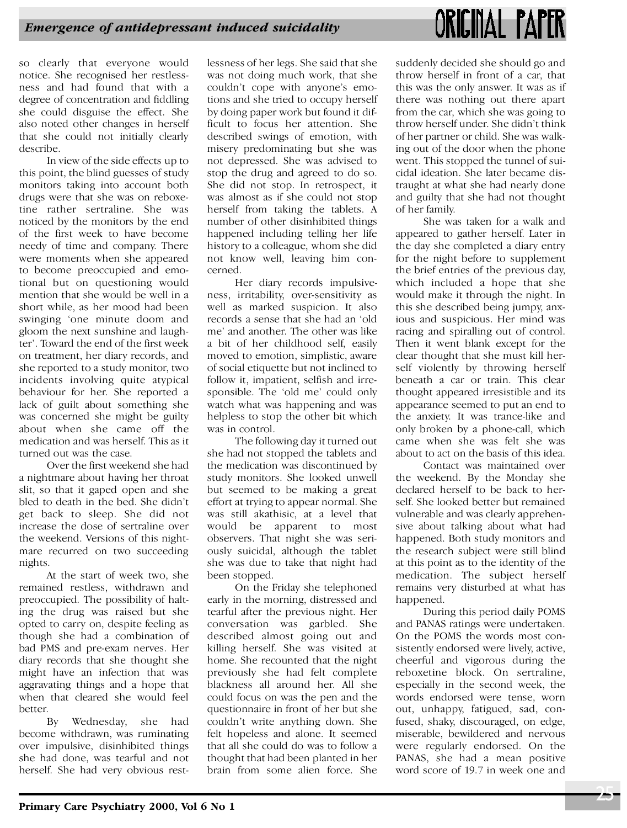# ORIGINAL PAPER

so clearly that everyone would notice. She recognised her restlessness and had found that with a degree of concentration and fiddling she could disguise the effect. She also noted other changes in herself that she could not initially clearly describe.

In view of the side effects up to this point, the blind guesses of study monitors taking into account both drugs were that she was on reboxetine rather sertraline. She was noticed by the monitors by the end of the first week to have become needy of time and company. There were moments when she appeared to become preoccupied and emotional but on questioning would mention that she would be well in a short while, as her mood had been swinging 'one minute doom and gloom the next sunshine and laughter'. Toward the end of the first week on treatment, her diary records, and she reported to a study monitor, two incidents involving quite atypical behaviour for her. She reported a lack of guilt about something she was concerned she might be guilty about when she came off the medication and was herself. This as it turned out was the case.

Over the first weekend she had a nightmare about having her throat slit, so that it gaped open and she bled to death in the bed. She didn't get back to sleep. She did not increase the dose of sertraline over the weekend. Versions of this nightmare recurred on two succeeding nights.

At the start of week two, she remained restless, withdrawn and preoccupied. The possibility of halting the drug was raised but she opted to carry on, despite feeling as though she had a combination of bad PMS and pre-exam nerves. Her diary records that she thought she might have an infection that was aggravating things and a hope that when that cleared she would feel better.<br>By Wednesday, she had

become withdrawn, was ruminating over impulsive, disinhibited things she had done, was tearful and not herself. She had very obvious restlessness of her legs. She said that she was not doing much work, that she couldn't cope with anyone's emotions and she tried to occupy herself by doing paper work but found it difficult to focus her attention. She described swings of emotion, with misery predominating but she was not depressed. She was advised to stop the drug and agreed to do so. She did not stop. In retrospect, it was almost as if she could not stop herself from taking the tablets. A number of other disinhibited things happened including telling her life history to a colleague, whom she did not know well, leaving him concerned.

Her diary records impulsiveness, irritability, over-sensitivity as well as marked suspicion. It also records a sense that she had an 'old me' and another. The other was like a bit of her childhood self, easily moved to emotion, simplistic, aware of social etiquette but not inclined to follow it, impatient, selfish and irresponsible. The 'old me' could only watch what was happening and was helpless to stop the other bit which was in control.

The following day it turned out she had not stopped the tablets and the medication was discontinued by study monitors. She looked unwell but seemed to be making a great effort at trying to appear normal. She was still akathisic, at a level that would be apparent to most observers. That night she was seriously suicidal, although the tablet she was due to take that night had been stopped.

On the Friday she telephoned early in the morning, distressed and tearful after the previous night. Her conversation was garbled. She described almost going out and killing herself. She was visited at home. She recounted that the night previously she had felt complete blackness all around her. All she could focus on was the pen and the questionnaire in front of her but she couldn't write anything down. She felt hopeless and alone. It seemed that all she could do was to follow a thought that had been planted in her brain from some alien force. She

suddenly decided she should go and throw herself in front of a car, that this was the only answer. It was as if there was nothing out there apart from the car, which she was going to throw herself under. She didn't think of her partner or child. She was walking out of the door when the phone went. This stopped the tunnel of suicidal ideation. She later became distraught at what she had nearly done and guilty that she had not thought of her family.

She was taken for a walk and appeared to gather herself. Later in the day she completed a diary entry for the night before to supplement the brief entries of the previous day, which included a hope that she would make it through the night. In this she described being jumpy, anxious and suspicious. Her mind was racing and spiralling out of control. Then it went blank except for the clear thought that she must kill herself violently by throwing herself beneath a car or train. This clear thought appeared irresistible and its appearance seemed to put an end to the anxiety. It was trance-like and only broken by a phone-call, which came when she was felt she was about to act on the basis of this idea.

Contact was maintained over the weekend. By the Monday she declared herself to be back to herself. She looked better but remained vulnerable and was clearly apprehensive about talking about what had happened. Both study monitors and the research subject were still blind at this point as to the identity of the medication. The subject herself remains very disturbed at what has happened.

During this period daily POMS and PANAS ratings were undertaken. On the POMS the words most consistently endorsed were lively, active, cheerful and vigorous during the reboxetine block. On sertraline, especially in the second week, the words endorsed were tense, worn out, unhappy, fatigued, sad, confused, shaky, discouraged, on edge, miserable, bewildered and nervous were regularly endorsed. On the PANAS, she had a mean positive word score of 19.7 in week one and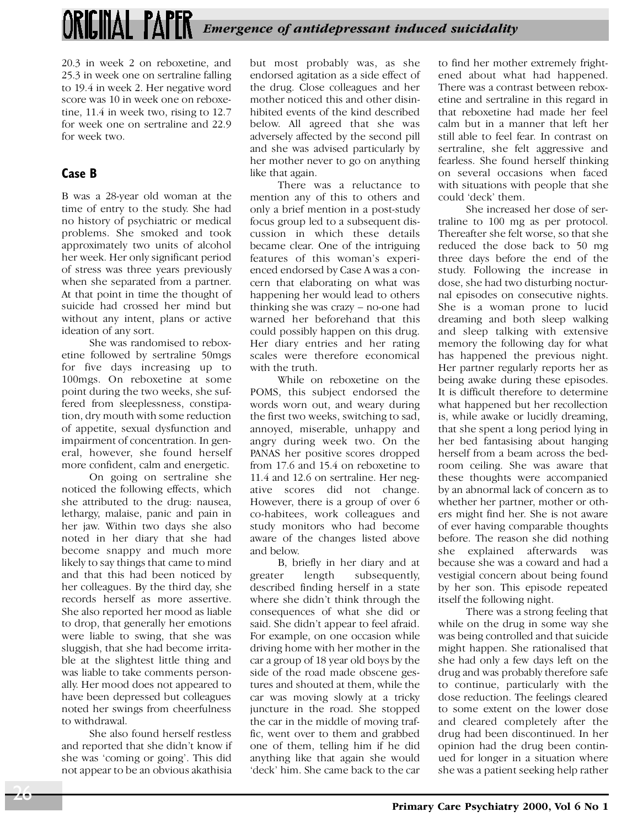20.3 in week 2 on reboxetine, and 25.3 in week one on sertraline falling to 19.4 in week 2. Her negative word score was 10 in week one on reboxetine, 11.4 in week two, rising to 12.7 for week one on sertraline and 22.9 for week two.

# **Case B**

B was a 28-year old woman at the time of entry to the study. She had no history of psychiatric or medical problems. She smoked and took approximately two units of alcohol her week. Her only significant period of stress was three years previously when she separated from a partner. At that point in time the thought of suicide had crossed her mind but without any intent, plans or active ideation of any sort.

She was randomised to reboxetine followed by sertraline 50mgs for five days increasing up to 100mgs. On reboxetine at some point during the two weeks, she suffered from sleeplessness, constipation, dry mouth with some reduction of appetite, sexual dysfunction and impairment of concentration. In general, however, she found herself more confident, calm and energetic.

On going on sertraline she noticed the following effects, which she attributed to the drug: nausea, lethargy, malaise, panic and pain in her jaw. Within two days she also noted in her diary that she had become snappy and much more likely to say things that came to mind and that this had been noticed by her colleagues. By the third day, she records herself as more assertive. She also reported her mood as liable to drop, that generally her emotions were liable to swing, that she was sluggish, that she had become irritable at the slightest little thing and was liable to take comments personally. Her mood does not appeared to have been depressed but colleagues noted her swings from cheerfulness to withdrawal.

She also found herself restless and reported that she didn't know if she was 'coming or going'. This did not appear to be an obvious akathisia

but most probably was, as she endorsed agitation as a side effect of the drug. Close colleagues and her mother noticed this and other disinhibited events of the kind described below. All agreed that she was adversely affected by the second pill and she was advised particularly by her mother never to go on anything like that again.

There was a reluctance to mention any of this to others and only a brief mention in a post-study focus group led to a subsequent discussion in which these details became clear. One of the intriguing features of this woman's experienced endorsed by Case A was a concern that elaborating on what was happening her would lead to others thinking she was crazy – no-one had warned her beforehand that this could possibly happen on this drug. Her diary entries and her rating scales were therefore economical with the truth.

While on reboxetine on the POMS, this subject endorsed the words worn out, and weary during the first two weeks, switching to sad, annoyed, miserable, unhappy and angry during week two. On the PANAS her positive scores dropped from 17.6 and 15.4 on reboxetine to 11.4 and 12.6 on sertraline. Her negative scores did not change. However, there is a group of over 6 co-habitees, work colleagues and study monitors who had become aware of the changes listed above and below.

B, briefly in her diary and at greater length subsequently, described finding herself in a state where she didn't think through the consequences of what she did or said. She didn't appear to feel afraid. For example, on one occasion while driving home with her mother in the car a group of 18 year old boys by the side of the road made obscene gestures and shouted at them, while the car was moving slowly at a tricky juncture in the road. She stopped the car in the middle of moving traffic, went over to them and grabbed one of them, telling him if he did anything like that again she would 'deck' him. She came back to the car

to find her mother extremely frightened about what had happened. There was a contrast between reboxetine and sertraline in this regard in that reboxetine had made her feel calm but in a manner that left her still able to feel fear. In contrast on sertraline, she felt aggressive and fearless. She found herself thinking on several occasions when faced with situations with people that she could 'deck' them.

She increased her dose of sertraline to 100 mg as per protocol. Thereafter she felt worse, so that she reduced the dose back to 50 mg three days before the end of the study. Following the increase in dose, she had two disturbing nocturnal episodes on consecutive nights. She is a woman prone to lucid dreaming and both sleep walking and sleep talking with extensive memory the following day for what has happened the previous night. Her partner regularly reports her as being awake during these episodes. It is difficult therefore to determine what happened but her recollection is, while awake or lucidly dreaming, that she spent a long period lying in her bed fantasising about hanging herself from a beam across the bedroom ceiling. She was aware that these thoughts were accompanied by an abnormal lack of concern as to whether her partner, mother or others might find her. She is not aware of ever having comparable thoughts before. The reason she did nothing she explained afterwards was because she was a coward and had a vestigial concern about being found by her son. This episode repeated itself the following night.

There was a strong feeling that while on the drug in some way she was being controlled and that suicide might happen. She rationalised that she had only a few days left on the drug and was probably therefore safe to continue, particularly with the dose reduction. The feelings cleared to some extent on the lower dose and cleared completely after the drug had been discontinued. In her opinion had the drug been continued for longer in a situation where she was a patient seeking help rather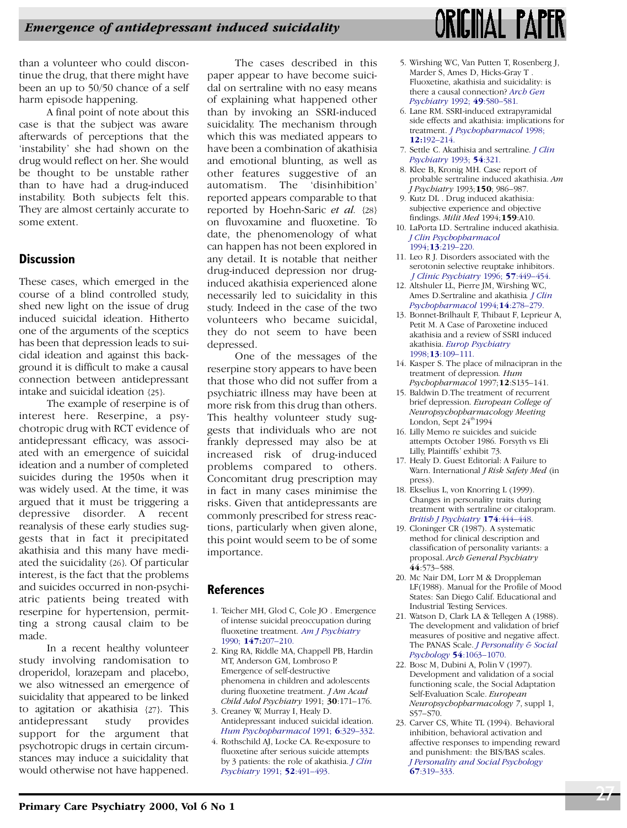than a volunteer who could discontinue the drug, that there might have been an up to 50/50 chance of a self harm episode happening.

A final point of note about this case is that the subject was aware afterwards of perceptions that the 'instability' she had shown on the drug would reflect on her. She would be thought to be unstable rather than to have had a drug-induced instability. Both subjects felt this. They are almost certainly accurate to some extent.

### **Discussion**

These cases, which emerged in the course of a blind controlled study, shed new light on the issue of drug induced suicidal ideation. Hitherto one of the arguments of the sceptics has been that depression leads to suicidal ideation and against this background it is difficult to make a causal connection between antidepressant intake and suicidal ideation {25}.

The example of reserpine is of interest here. Reserpine, a psychotropic drug with RCT evidence of antidepressant efficacy, was associated with an emergence of suicidal ideation and a number of completed suicides during the 1950s when it was widely used. At the time, it was argued that it must be triggering a depressive disorder. A recent reanalysis of these early studies suggests that in fact it precipitated akathisia and this many have mediated the suicidality {26}. Of particular interest, is the fact that the problems and suicides occurred in non-psychiatric patients being treated with reserpine for hypertension, permitting a strong causal claim to be made.

In a recent healthy volunteer study involving randomisation to droperidol, lorazepam and placebo, we also witnessed an emergence of suicidality that appeared to be linked to agitation or akathisia {27}. This antidepressant study provides support for the argument that psychotropic drugs in certain circumstances may induce a suicidality that would otherwise not have happened.

The cases described in this paper appear to have become suicidal on sertraline with no easy means of explaining what happened other than by invoking an SSRI-induced suicidality. The mechanism through which this was mediated appears to have been a combination of akathisia and emotional blunting, as well as other features suggestive of an automatism. The 'disinhibition' reported appears comparable to that reported by Hoehn-Saric *et al.* {28} on fluvoxamine and fluoxetine. To date, the phenomenology of what can happen has not been explored in any detail. It is notable that neither drug-induced depression nor druginduced akathisia experienced alone necessarily led to suicidality in this study. Indeed in the case of the two volunteers who became suicidal, they do not seem to have been depressed.

One of the messages of the reserpine story appears to have been that those who did not suffer from a psychiatric illness may have been at more risk from this drug than others. This healthy volunteer study suggests that individuals who are not frankly depressed may also be at increased risk of drug-induced problems compared to others. Concomitant drug prescription may in fact in many cases minimise the risks. Given that antidepressants are commonly prescribed for stress reactions, particularly when given alone, this point would seem to be of some importance.

#### **References**

- 1. Teicher MH, Glod C, Cole JO . Emergence of intense suicidal preoccupation during fluoxetine treatment. *[Am J Psychiatry](http://www.ingentaconnect.com/content/external-references?article=/0002-953X^281990^29147L.207[aid=147211,csa=0002-953X^26vol=147^26iss=2^26firstpage=207])* 1990; **147:**[207–210.](http://www.ingentaconnect.com/content/external-references?article=/0002-953X^281990^29147L.207[aid=147211,csa=0002-953X^26vol=147^26iss=2^26firstpage=207])
- 2. King RA, Riddle MA, Chappell PB, Hardin MT, Anderson GM, Lombroso P. Emergence of self-destructive phenomena in children and adolescents during fluoxetine treatment. *J Am Acad Child Adol Psychiatry* 1991; **30**:171–176.
- 3. Creaney W, Murray I, Healy D. Antidepressant induced suicidal ideation. *[Hum Psychopharmacol](http://www.ingentaconnect.com/content/external-references?article=/0885-6222^281991^296L.329[aid=147213])* 1991; **6**:329–332.
- 4. Rothschild AJ, Locke CA. Re-exposure to fluoxetine after serious suicide attempts by 3 patients: the role of akathisia. *[J Clin](http://www.ingentaconnect.com/content/external-references?article=/0160-6689^281991^2952L.491[aid=147214,csa=0160-6689^26vol=52^26iss=12^26firstpage=491,nlm=1752848]) [Psychiatry](http://www.ingentaconnect.com/content/external-references?article=/0160-6689^281991^2952L.491[aid=147214,csa=0160-6689^26vol=52^26iss=12^26firstpage=491,nlm=1752848])* 1991; **52**:491–493.



- 5. Wirshing WC, Van Putten T, Rosenberg J, Marder S, Ames D, Hicks-Gray T . Fluoxetine, akathisia and suicidality: is there a causal connection? *[Arch Gen](http://www.ingentaconnect.com/content/external-references?article=/0003-990X^281992^2949L.580[aid=147215,csa=0003-990X^26vol=49^26iss=7^26firstpage=580]) [Psychiatry](http://www.ingentaconnect.com/content/external-references?article=/0003-990X^281992^2949L.580[aid=147215,csa=0003-990X^26vol=49^26iss=7^26firstpage=580])* 1992; **49**:580–581.
- 6. Lane RM. SSRI-induced extrapyramidal side effects and akathisia: implications for treatment. *[J Psychopharmacol](http://www.ingentaconnect.com/content/external-references?article=/0269-8811^281998^2912L.192[aid=147216,nlm=9694033])* 1998; **12:**[192–214.](http://www.ingentaconnect.com/content/external-references?article=/0269-8811^281998^2912L.192[aid=147216,nlm=9694033])
- 7. Settle C. Akathisia and sertraline. *[J Clin](http://www.ingentaconnect.com/content/external-references?article=/0160-6689^281993^2954L.321[aid=147217,csa=0160-6689^26vol=54^26iss=8^26firstpage=321,nlm=8253701]) [Psychiatry](http://www.ingentaconnect.com/content/external-references?article=/0160-6689^281993^2954L.321[aid=147217,csa=0160-6689^26vol=54^26iss=8^26firstpage=321,nlm=8253701])* 1993; **54**:321.
- 8. Klee B, Kronig MH. Case report of probable sertraline induced akathisia. *Am J Psychiatry* 1993;**150**; 986–987.
- 9. Kutz DL . Drug induced akathisia: subjective experience and objective findings. *Milit Med* 1994;**159**:A10.
- 10. LaPorta LD. Sertraline induced akathisia. *[J Clin Psychopharmacol](http://www.ingentaconnect.com/content/external-references?article=/0271-0749^281994^2913L.219[aid=147218,csa=0271-0749^26vol=13^26iss=3^26firstpage=219])* 1994;**13**[:219–220.](http://www.ingentaconnect.com/content/external-references?article=/0271-0749^281994^2913L.219[aid=147218,csa=0271-0749^26vol=13^26iss=3^26firstpage=219])
- 11. Leo R J. Disorders associated with the serotonin selective reuptake inhibitors. *J [Clinic Psychiatry](http://www.ingentaconnect.com/content/external-references?article=/0160-6689^281996^2957L.449[aid=147219,nlm=8909330])* 1996; **57**:449–454.
- 12. Altshuler LL, Pierre JM, Wirshing WC, Ames D.Sertraline and akathisia*. [J Clin](http://www.ingentaconnect.com/content/external-references?article=/0271-0749^281994^2914L.278[aid=147220,nlm=7962686]) [Psychopharmacol](http://www.ingentaconnect.com/content/external-references?article=/0271-0749^281994^2914L.278[aid=147220,nlm=7962686])* 1994;**14**:278–279.
- 13. Bonnet-Brilhault F, Thibaut F, Leprieur A, Petit M. A Case of Paroxetine induced akathisia and a review of SSRI induced akathisia. *[Europ Psychiatry](http://www.ingentaconnect.com/content/external-references?article=/0924-9338^281998^2913L.109[aid=147221])* 1998;**13**[:109–111.](http://www.ingentaconnect.com/content/external-references?article=/0924-9338^281998^2913L.109[aid=147221])
- 14. Kasper S. The place of milnacipran in the treatment of depression*. Hum Psychopharmacol* 1997;**12**:S135–141.
- 15. Baldwin D.The treatment of recurrent brief depression. *European College of Neuropsychopharmacology Meeting* London, Sept  $24^{\text{th}}1994$
- 16. Lilly Memo re suicides and suicide attempts October 1986. Forsyth vs Eli Lilly, Plaintiffs' exhibit 73.
- 17. Healy D. Guest Editorial: A Failure to Warn. International *J Risk Safety Med* (in press).
- 18. Ekselius L, von Knorring L (1999). Changes in personality traits during treatment with sertraline or citalopram. *[British J Psychiatry](http://www.ingentaconnect.com/content/external-references?article=/0007-1250^28^29174L.444[aid=147222,csa=0007-1250^26vol=174^26iss=^26firstpage=444,nlm=10616614])* **174**:444–448.
- 19. Cloninger CR (1987). A systematic method for clinical description and classification of personality variants: a proposal. *Arch General Psychiatry* **44**:573–588.
- 20. Mc Nair DM, Lorr M & Droppleman LF(1988). Manual for the Profile of Mood States: San Diego Calif. Educational and Industrial Testing Services.
- 21. Watson D, Clark LA & Tellegen A (1988). The development and validation of brief measures of positive and negative affect. The PANAS Scale. *[J Personality & Social](http://www.ingentaconnect.com/content/external-references?article=/0022-3514^28^2954L.1063[aid=19009,nlm=3397865]) Psychology* **54**[:1063–1070.](http://www.ingentaconnect.com/content/external-references?article=/0022-3514^28^2954L.1063[aid=19009,nlm=3397865])
- 22. Bosc M, Dubini A, Polin V (1997). Development and validation of a social functioning scale, the Social Adaptation Self-Evaluation Scale. *European Neuropsychopharmacology 7*, suppl 1, S57–S70.
- 23. Carver CS, White TL (1994). Behavioral inhibition, behavioral activation and affective responses to impending reward and punishment: the BIS/BAS scales. *[J Personality and Social Psychology](http://www.ingentaconnect.com/content/external-references?article=/0022-3514^28^2967L.319[aid=147223])* **67**[:319–333.](http://www.ingentaconnect.com/content/external-references?article=/0022-3514^28^2967L.319[aid=147223])